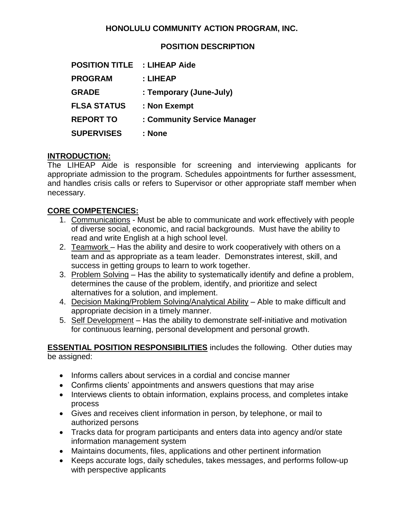## **HONOLULU COMMUNITY ACTION PROGRAM, INC.**

### **POSITION DESCRIPTION**

| <b>POSITION TITLE</b> | : LIHEAP Aide               |
|-----------------------|-----------------------------|
| <b>PROGRAM</b>        | : LIHEAP                    |
| <b>GRADE</b>          | : Temporary (June-July)     |
| <b>FLSA STATUS</b>    | : Non Exempt                |
| <b>REPORT TO</b>      | : Community Service Manager |
| <b>SUPERVISES</b>     | : None                      |

### **INTRODUCTION:**

The LIHEAP Aide is responsible for screening and interviewing applicants for appropriate admission to the program. Schedules appointments for further assessment, and handles crisis calls or refers to Supervisor or other appropriate staff member when necessary.

### **CORE COMPETENCIES:**

- 1. Communications Must be able to communicate and work effectively with people of diverse social, economic, and racial backgrounds. Must have the ability to read and write English at a high school level.
- 2. Teamwork Has the ability and desire to work cooperatively with others on a team and as appropriate as a team leader. Demonstrates interest, skill, and success in getting groups to learn to work together.
- 3. Problem Solving Has the ability to systematically identify and define a problem, determines the cause of the problem, identify, and prioritize and select alternatives for a solution, and implement.
- 4. Decision Making/Problem Solving/Analytical Ability Able to make difficult and appropriate decision in a timely manner.
- 5. Self Development Has the ability to demonstrate self-initiative and motivation for continuous learning, personal development and personal growth.

#### **ESSENTIAL POSITION RESPONSIBILITIES** includes the following. Other duties may be assigned:

- Informs callers about services in a cordial and concise manner
- Confirms clients' appointments and answers questions that may arise
- Interviews clients to obtain information, explains process, and completes intake process
- Gives and receives client information in person, by telephone, or mail to authorized persons
- Tracks data for program participants and enters data into agency and/or state information management system
- Maintains documents, files, applications and other pertinent information
- Keeps accurate logs, daily schedules, takes messages, and performs follow-up with perspective applicants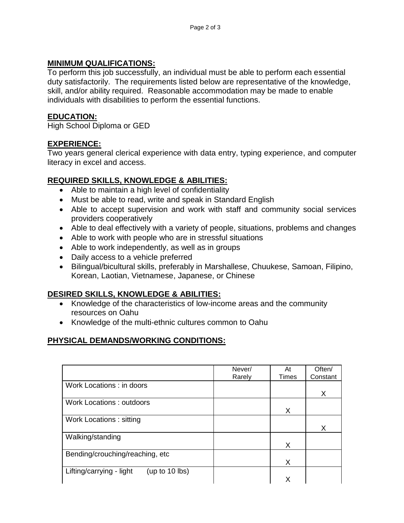#### **MINIMUM QUALIFICATIONS:**

To perform this job successfully, an individual must be able to perform each essential duty satisfactorily. The requirements listed below are representative of the knowledge, skill, and/or ability required. Reasonable accommodation may be made to enable individuals with disabilities to perform the essential functions.

### **EDUCATION:**

High School Diploma or GED

### **EXPERIENCE:**

Two years general clerical experience with data entry, typing experience, and computer literacy in excel and access.

### **REQUIRED SKILLS, KNOWLEDGE & ABILITIES:**

- Able to maintain a high level of confidentiality
- Must be able to read, write and speak in Standard English
- Able to accept supervision and work with staff and community social services providers cooperatively
- Able to deal effectively with a variety of people, situations, problems and changes
- Able to work with people who are in stressful situations
- Able to work independently, as well as in groups
- Daily access to a vehicle preferred
- Bilingual/bicultural skills, preferably in Marshallese, Chuukese, Samoan, Filipino, Korean, Laotian, Vietnamese, Japanese, or Chinese

## **DESIRED SKILLS, KNOWLEDGE & ABILITIES:**

- Knowledge of the characteristics of low-income areas and the community resources on Oahu
- Knowledge of the multi-ethnic cultures common to Oahu

# **PHYSICAL DEMANDS/WORKING CONDITIONS:**

|                                              | Never/ | At    | Often/   |
|----------------------------------------------|--------|-------|----------|
|                                              | Rarely | Times | Constant |
|                                              |        |       |          |
| Work Locations: in doors                     |        |       |          |
|                                              |        |       | X        |
| <b>Work Locations: outdoors</b>              |        |       |          |
|                                              |        | X     |          |
| Work Locations: sitting                      |        |       |          |
|                                              |        |       | X        |
| Walking/standing                             |        |       |          |
|                                              |        | X     |          |
| Bending/crouching/reaching, etc              |        |       |          |
|                                              |        | X     |          |
| Lifting/carrying - light<br>(up to $10$ lbs) |        |       |          |
|                                              |        | Χ     |          |